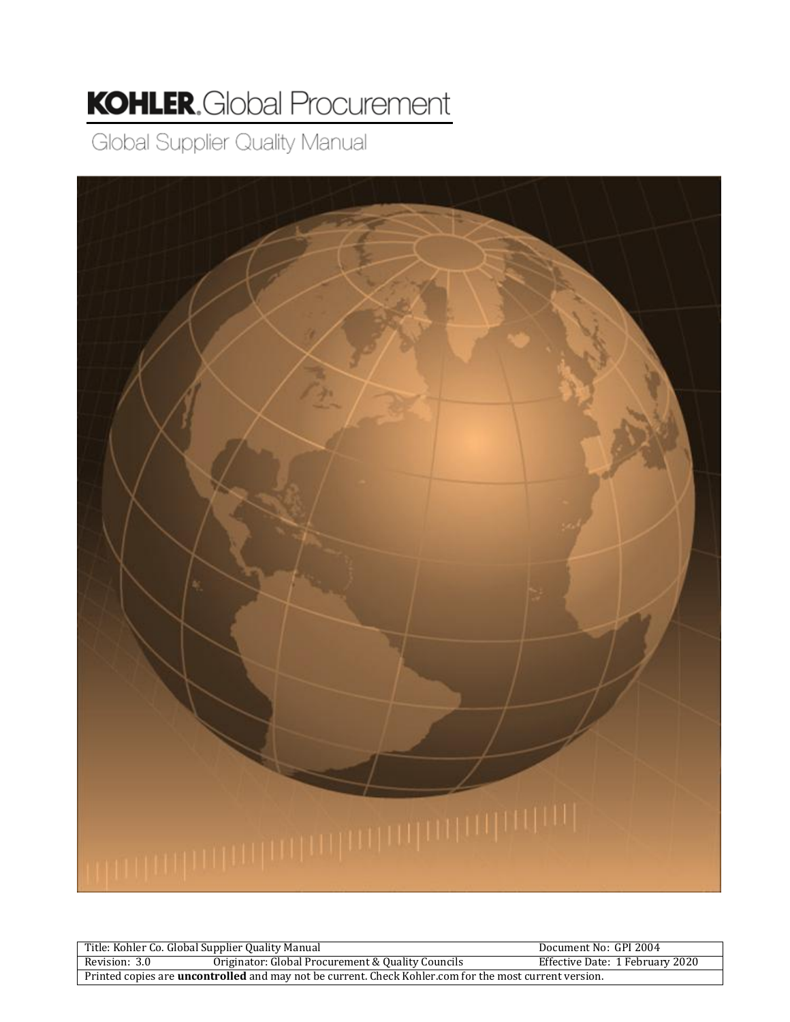# **KOHLER.** Global Procurement

Global Supplier Quality Manual



|                                                                                                               | Title: Kohler Co. Global Supplier Quality Manual  | Document No: GPI 2004           |
|---------------------------------------------------------------------------------------------------------------|---------------------------------------------------|---------------------------------|
| Revision: 3.0                                                                                                 | Originator: Global Procurement & Quality Councils | Effective Date: 1 February 2020 |
| Printed copies are <b>uncontrolled</b> and may not be current. Check Kohler.com for the most current version. |                                                   |                                 |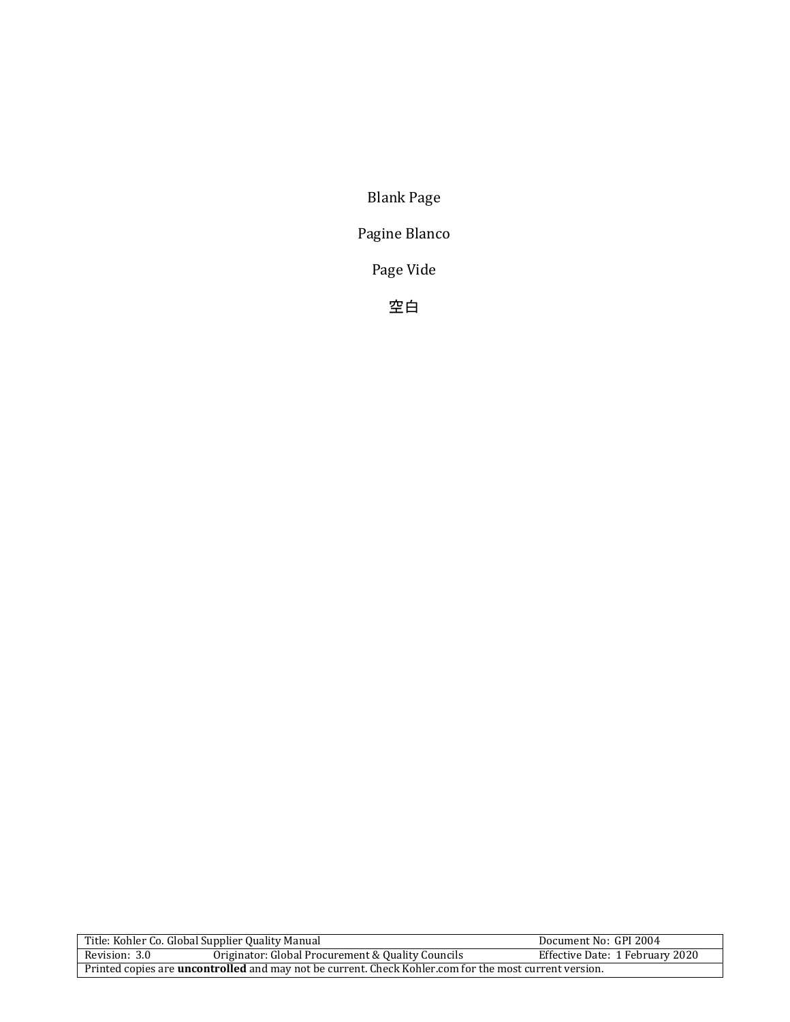Blank Page

Pagine Blanco

Page Vide

空白

| Title: Kohler Co. Global Supplier Quality Manual                                                              |                                                   | Document No: GPI 2004           |
|---------------------------------------------------------------------------------------------------------------|---------------------------------------------------|---------------------------------|
| Revision: 3.0                                                                                                 | Originator: Global Procurement & Quality Councils | Effective Date: 1 February 2020 |
| Printed copies are <b>uncontrolled</b> and may not be current. Check Kohler.com for the most current version. |                                                   |                                 |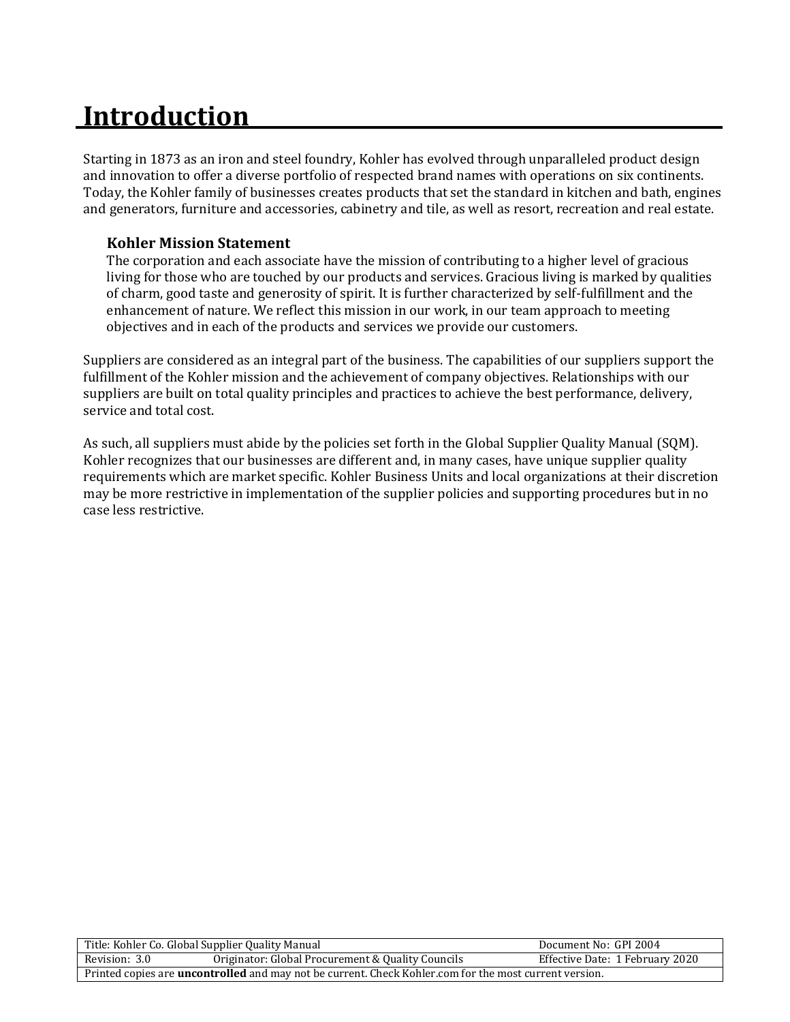# **Introduction**

Starting in 1873 as an iron and steel foundry, Kohler has evolved through unparalleled product design and innovation to offer a diverse portfolio of respected brand names with operations on six continents. Today, the Kohler family of businesses creates products that set the standard in kitchen and bath, engines and generators, furniture and accessories, cabinetry and tile, as well as resort, recreation and real estate.

#### **Kohler Mission Statement**

The corporation and each associate have the mission of contributing to a higher level of gracious living for those who are touched by our products and services. Gracious living is marked by qualities of charm, good taste and generosity of spirit. It is further characterized by self-fulfillment and the enhancement of nature. We reflect this mission in our work, in our team approach to meeting objectives and in each of the products and services we provide our customers.

Suppliers are considered as an integral part of the business. The capabilities of our suppliers support the fulfillment of the Kohler mission and the achievement of company objectives. Relationships with our suppliers are built on total quality principles and practices to achieve the best performance, delivery, service and total cost.

As such, all suppliers must abide by the policies set forth in the Global Supplier Quality Manual (SQM). Kohler recognizes that our businesses are different and, in many cases, have unique supplier quality requirements which are market specific. Kohler Business Units and local organizations at their discretion may be more restrictive in implementation of the supplier policies and supporting procedures but in no case less restrictive.

| Title: Kohler Co. Global Supplier Quality Manual                                                              |                                                   | Document No: GPI 2004           |
|---------------------------------------------------------------------------------------------------------------|---------------------------------------------------|---------------------------------|
| Revision: 3.0                                                                                                 | Originator: Global Procurement & Quality Councils | Effective Date: 1 February 2020 |
| Printed copies are <b>uncontrolled</b> and may not be current. Check Kohler.com for the most current version. |                                                   |                                 |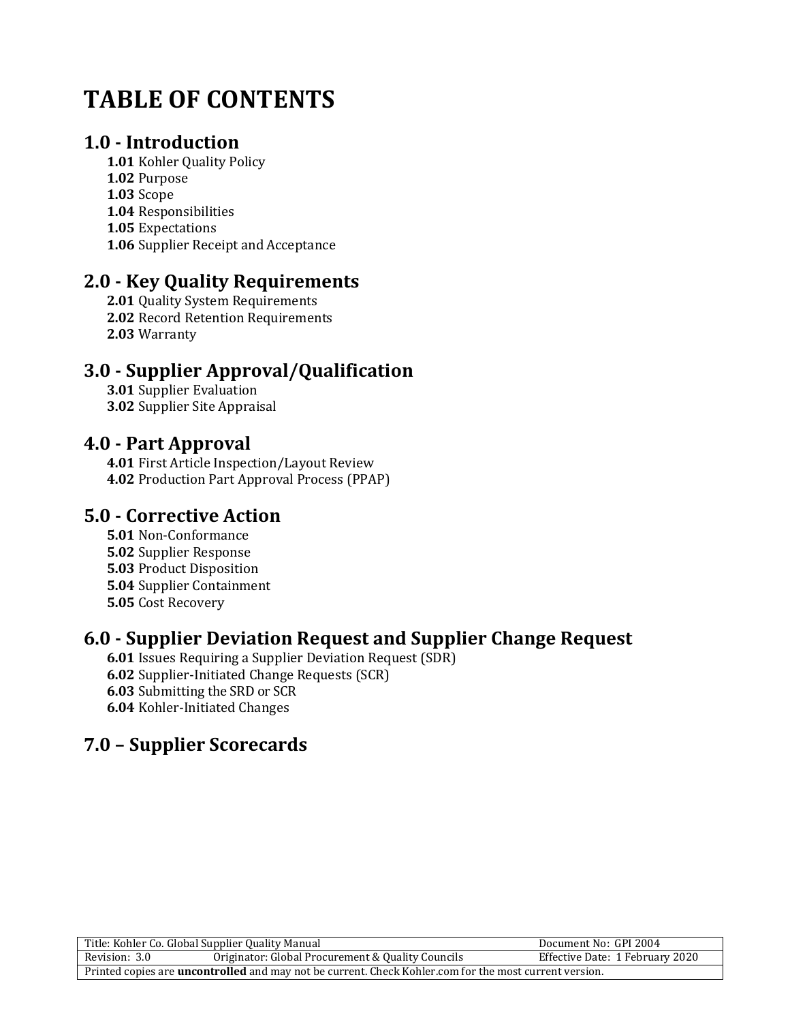## **TABLE OF CONTENTS**

### **1.0 - Introduction**

**1.01** Kohler Quality Policy **1.02** Purpose **1.03** Scope **1.04** Responsibilities **1.05** Expectations **1.06** Supplier Receipt and Acceptance

## **2.0 - Key Quality Requirements**

**2.01** Quality System Requirements **2.02** Record Retention Requirements **2.03** Warranty

## **3.0 - Supplier Approval/Qualification**

**3.01** Supplier Evaluation **3.02** Supplier Site Appraisal

### **4.0 - Part Approval**

**4.01** First Article Inspection/Layout Review **4.02** Production Part Approval Process (PPAP)

### **5.0 - Corrective Action**

**5.01** Non-Conformance **5.02** Supplier Response **5.03** Product Disposition **5.04** Supplier Containment **5.05** Cost Recovery

## **6.0 - Supplier Deviation Request and Supplier Change Request**

**6.01** Issues Requiring a Supplier Deviation Request (SDR) **6.02** Supplier-Initiated Change Requests (SCR) **6.03** Submitting the SRD or SCR **6.04** Kohler-Initiated Changes

## **7.0 – Supplier Scorecards**

| Title: Kohler Co. Global Supplier Quality Manual                                                              |                                                   | Document No: GPI 2004           |
|---------------------------------------------------------------------------------------------------------------|---------------------------------------------------|---------------------------------|
| Revision: 3.0                                                                                                 | Originator: Global Procurement & Quality Councils | Effective Date: 1 February 2020 |
| Printed copies are <b>uncontrolled</b> and may not be current. Check Kohler.com for the most current version. |                                                   |                                 |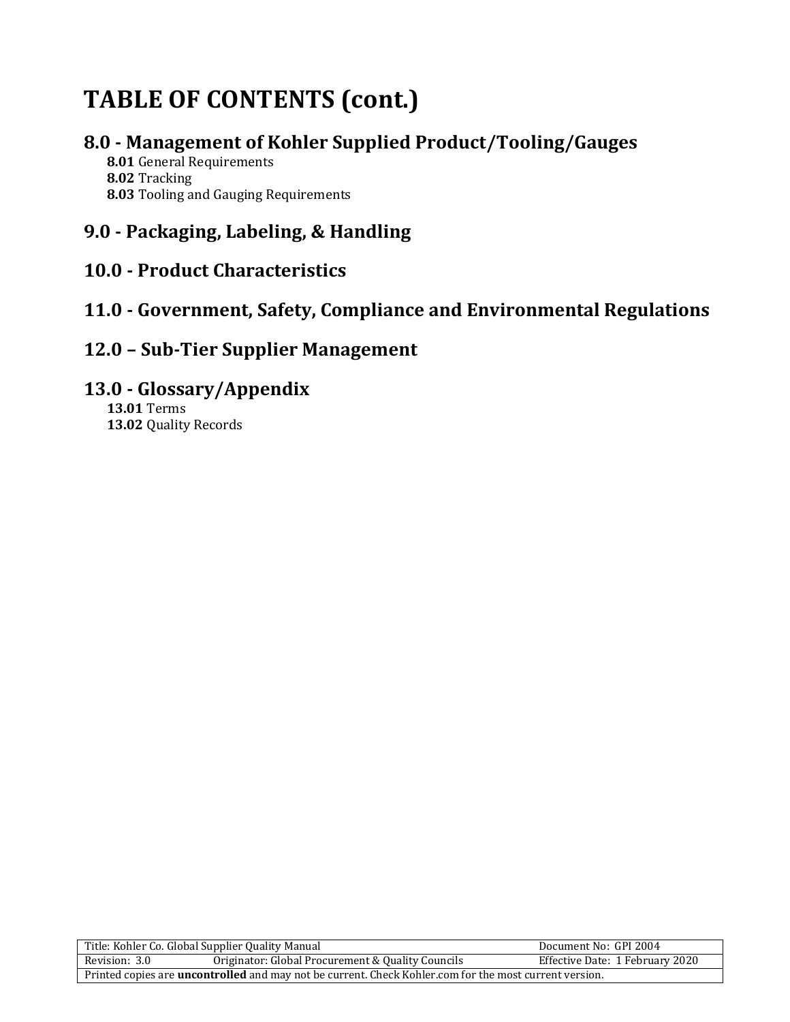## **TABLE OF CONTENTS (cont.)**

### **8.0 - Management of Kohler Supplied Product/Tooling/Gauges**

**8.01** General Requirements **8.02** Tracking **8.03** Tooling and Gauging Requirements

## **9.0 - Packaging, Labeling, & Handling**

## **10.0 - Product Characteristics**

## **11.0 - Government, Safety, Compliance and Environmental Regulations**

### **12.0 – Sub-Tier Supplier Management**

### **13.0 - Glossary/Appendix**

**13.01** Terms **13.02** Quality Records

| Title: Kohler Co. Global Supplier Quality Manual                                                              |                                                   | Document No: GPI 2004           |
|---------------------------------------------------------------------------------------------------------------|---------------------------------------------------|---------------------------------|
| Revision: 3.0                                                                                                 | Originator: Global Procurement & Quality Councils | Effective Date: 1 February 2020 |
| Printed copies are <b>uncontrolled</b> and may not be current. Check Kohler.com for the most current version. |                                                   |                                 |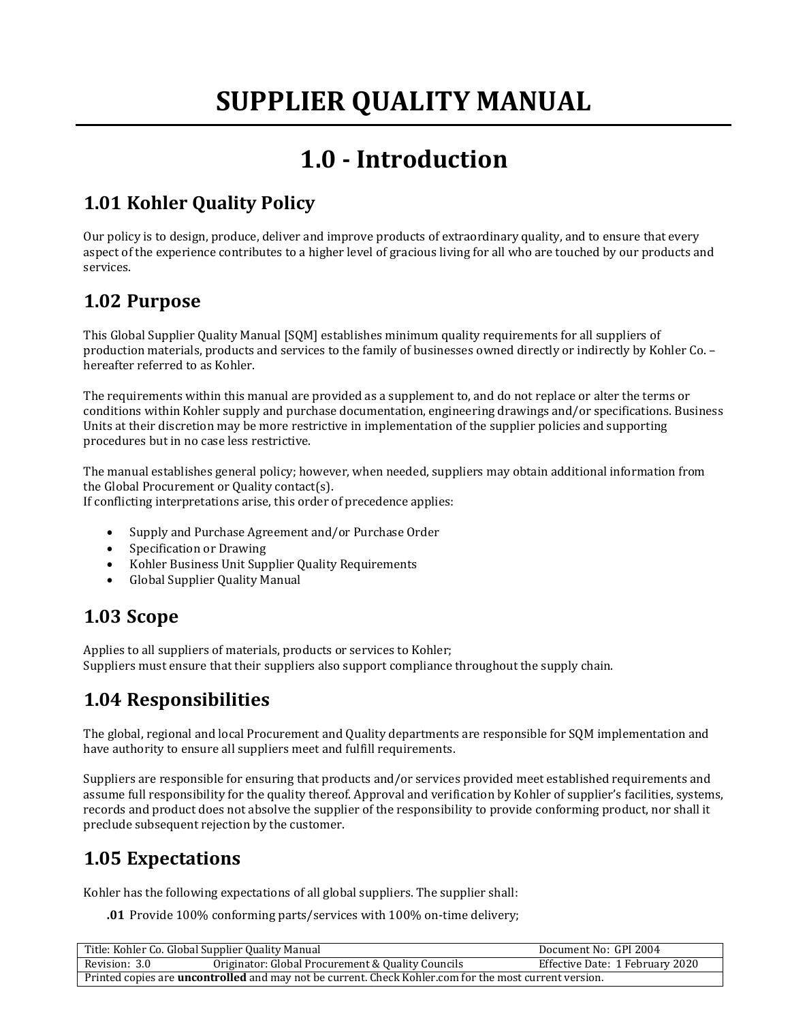## **1.0 - Introduction**

## **1.01 Kohler Quality Policy**

Our policy is to design, produce, deliver and improve products of extraordinary quality, and to ensure that every aspect of the experience contributes to a higher level of gracious living for all who are touched by our products and services.

### **1.02 Purpose**

This Global Supplier Quality Manual [SQM] establishes minimum quality requirements for all suppliers of production materials, products and services to the family of businesses owned directly or indirectly by Kohler Co. – hereafter referred to as Kohler.

The requirements within this manual are provided as a supplement to, and do not replace or alter the terms or conditions within Kohler supply and purchase documentation, engineering drawings and/or specifications. Business Units at their discretion may be more restrictive in implementation of the supplier policies and supporting procedures but in no case less restrictive.

The manual establishes general policy; however, when needed, suppliers may obtain additional information from the Global Procurement or Quality contact(s).

If conflicting interpretations arise, this order of precedence applies:

- Supply and Purchase Agreement and/or Purchase Order
- Specification or Drawing
- Kohler Business Unit Supplier Quality Requirements
- Global Supplier Quality Manual

## **1.03 Scope**

Applies to all suppliers of materials, products or services to Kohler; Suppliers must ensure that their suppliers also support compliance throughout the supply chain.

## **1.04 Responsibilities**

The global, regional and local Procurement and Quality departments are responsible for SQM implementation and have authority to ensure all suppliers meet and fulfill requirements.

Suppliers are responsible for ensuring that products and/or services provided meet established requirements and assume full responsibility for the quality thereof. Approval and verification by Kohler of supplier's facilities, systems, records and product does not absolve the supplier of the responsibility to provide conforming product, nor shall it preclude subsequent rejection by the customer.

## **1.05 Expectations**

Kohler has the following expectations of all global suppliers. The supplier shall:

**.01** Provide 100% conforming parts/services with 100% on-time delivery;

| Title: Kohler Co. Global Supplier Quality Manual                                                              |                                                   | Document No: GPI 2004           |
|---------------------------------------------------------------------------------------------------------------|---------------------------------------------------|---------------------------------|
| Revision: 3.0                                                                                                 | Originator: Global Procurement & Quality Councils | Effective Date: 1 February 2020 |
| Printed copies are <b>uncontrolled</b> and may not be current. Check Kohler.com for the most current version. |                                                   |                                 |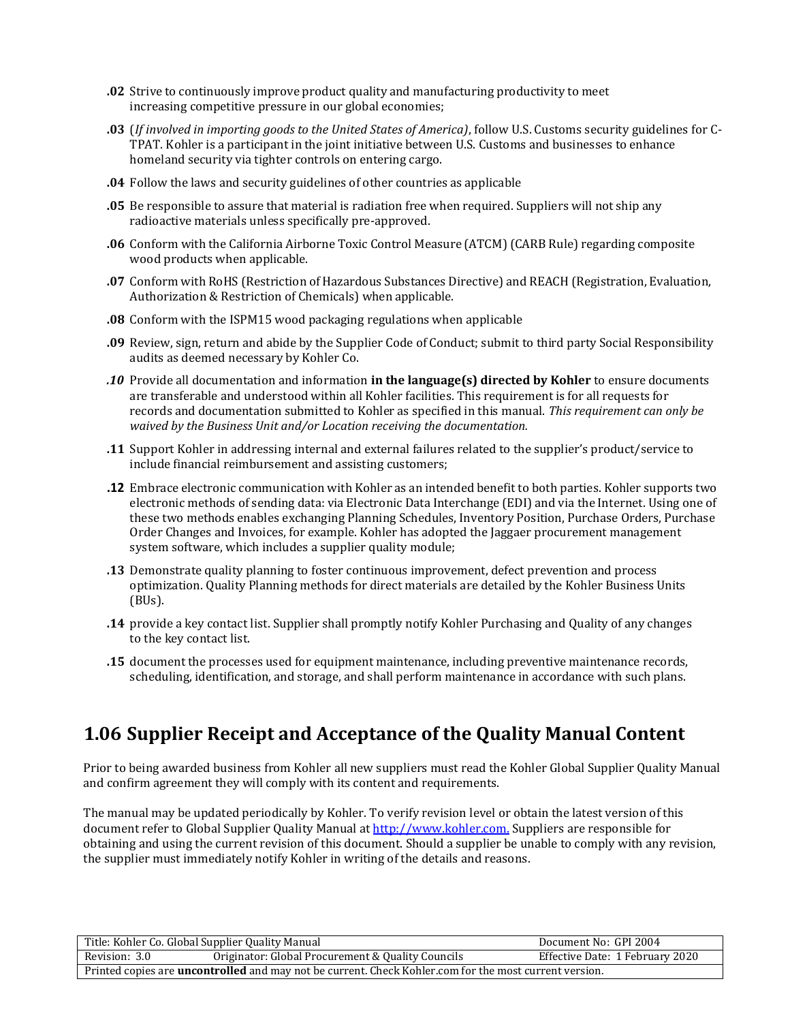- **.02** Strive to continuously improve product quality and manufacturing productivity to meet increasing competitive pressure in our global economies;
- **.03** (*If involved in importing goods to the United States of America)*, follow U.S. Customs security guidelines for C-TPAT. Kohler is a participant in the joint initiative between U.S. Customs and businesses to enhance homeland security via tighter controls on entering cargo.
- **.04** Follow the laws and security guidelines of other countries as applicable
- **.05** Be responsible to assure that material is radiation free when required. Suppliers will not shipany radioactive materials unless specifically pre-approved.
- **.06** Conform with the California Airborne Toxic Control Measure (ATCM) (CARB Rule) regarding composite wood products when applicable.
- **.07** Conform with RoHS (Restriction of Hazardous Substances Directive) and REACH (Registration, Evaluation, Authorization & Restriction of Chemicals) when applicable.
- **.08** Conform with the ISPM15 wood packaging regulations when applicable
- **.09** Review, sign, return and abide by the Supplier Code of Conduct; submit to third party Social Responsibility audits as deemed necessary by Kohler Co.
- *.10* Provide all documentation and information **in the language(s) directed by Kohler** to ensure documents are transferable and understood within all Kohler facilities. This requirement is for all requests for records and documentation submitted to Kohler as specified in this manual. *This requirement can only be waived by the Business Unit and/or Location receiving the documentation.*
- **.11** Support Kohler in addressing internal and external failures related to the supplier's product/service to include financial reimbursement and assisting customers;
- **.12** Embrace electronic communication with Kohler as an intended benefit to both parties. Kohler supports two electronic methods of sending data: via Electronic Data Interchange (EDI) and via the Internet. Using one of these two methods enables exchanging Planning Schedules, Inventory Position, Purchase Orders, Purchase Order Changes and Invoices, for example. Kohler has adopted the Jaggaer procurement management system software, which includes a supplier quality module;
- **.13** Demonstrate quality planning to foster continuous improvement, defect prevention and process optimization. Quality Planning methods for direct materials are detailed by the Kohler Business Units (BUs).
- **.14** provide a key contact list. Supplier shall promptly notify Kohler Purchasing and Quality of any changes to the key contact list.
- **.15** document the processes used for equipment maintenance, including preventive maintenance records, scheduling, identification, and storage, and shall perform maintenance in accordance with such plans.

## **1.06 Supplier Receipt and Acceptance of the Quality Manual Content**

Prior to being awarded business from Kohler all new suppliers must read the Kohler Global Supplier Quality Manual and confirm agreement they will comply with its content and requirements.

The manual may be updated periodically by Kohler. To verify revision level or obtain the latest version of this document refer to Global Supplier Quality Manual a[t http://www.kohler.com.](http://www.kohler.com/) Suppliers are responsible for obtaining and using the current revision of this document. Should a supplier be unable to comply with any revision, the supplier must immediately notify Kohler in writing of the details and reasons.

| Title: Kohler Co. Global Supplier Quality Manual                                                              |                                                   | Document No: GPI 2004           |
|---------------------------------------------------------------------------------------------------------------|---------------------------------------------------|---------------------------------|
| Revision: 3.0                                                                                                 | Originator: Global Procurement & Quality Councils | Effective Date: 1 February 2020 |
| Printed copies are <b>uncontrolled</b> and may not be current. Check Kohler.com for the most current version. |                                                   |                                 |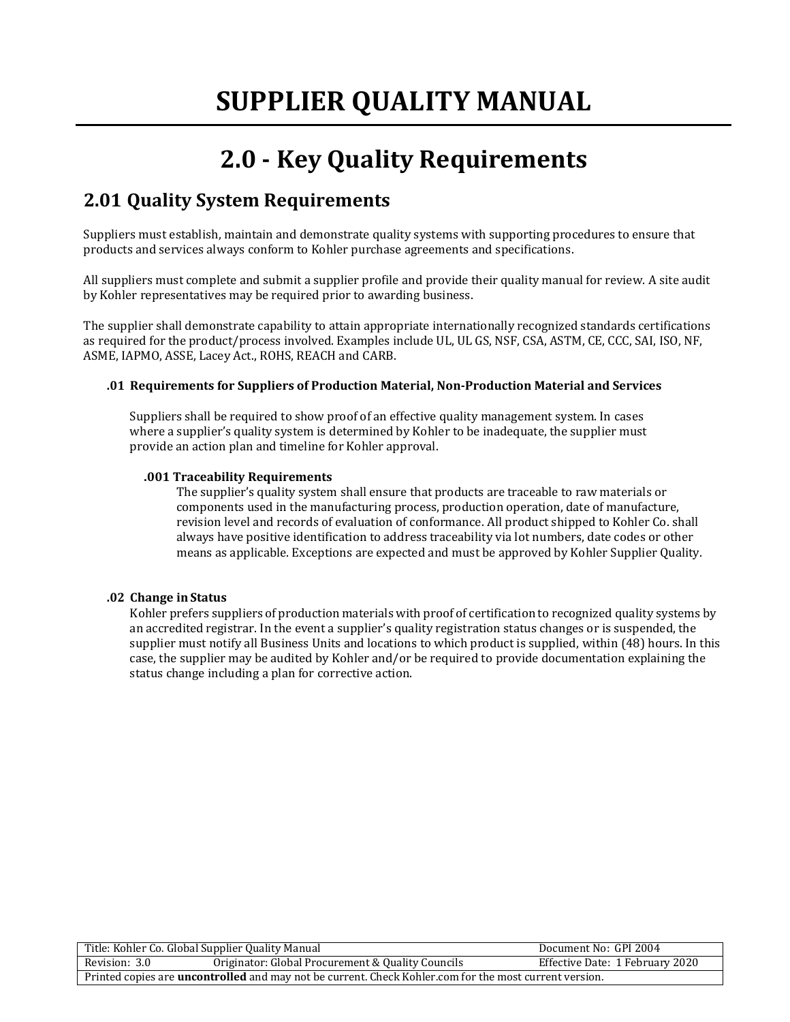## **2.0 - Key Quality Requirements**

## **2.01 Quality System Requirements**

Suppliers must establish, maintain and demonstrate quality systems with supporting procedures to ensure that products and services always conform to Kohler purchase agreements and specifications.

All suppliers must complete and submit a supplier profile and provide their quality manual for review. A site audit by Kohler representatives may be required prior to awarding business.

The supplier shall demonstrate capability to attain appropriate internationally recognized standards certifications as required for the product/process involved. Examples include UL, UL GS, NSF, CSA, ASTM, CE, CCC, SAI, ISO, NF, ASME, IAPMO, ASSE, Lacey Act., ROHS, REACH and CARB.

#### **.01 Requirements for Suppliers of Production Material, Non-Production Material and Services**

Suppliers shall be required to show proof of an effective quality management system. In cases where a supplier's quality system is determined by Kohler to be inadequate, the supplier must provide an action plan and timeline for Kohler approval.

#### **.001 Traceability Requirements**

The supplier's quality system shall ensure that products are traceable to raw materials or components used in the manufacturing process, production operation, date of manufacture, revision level and records of evaluation of conformance. All product shipped to Kohler Co. shall always have positive identification to address traceability via lot numbers, date codes or other means as applicable. Exceptions are expected and must be approved by Kohler Supplier Quality.

#### **.02 Change inStatus**

Kohler prefers suppliers of production materials with proof of certification to recognized quality systems by an accredited registrar. In the event a supplier's quality registration status changes or is suspended, the supplier must notify all Business Units and locations to which product is supplied, within (48) hours. In this case, the supplier may be audited by Kohler and/or be required to provide documentation explaining the status change including a plan for corrective action.

| Title: Kohler Co. Global Supplier Quality Manual                                                              |                                                   | Document No: GPI 2004           |
|---------------------------------------------------------------------------------------------------------------|---------------------------------------------------|---------------------------------|
| Revision: 3.0                                                                                                 | Originator: Global Procurement & Quality Councils | Effective Date: 1 February 2020 |
| Printed copies are <b>uncontrolled</b> and may not be current. Check Kohler.com for the most current version. |                                                   |                                 |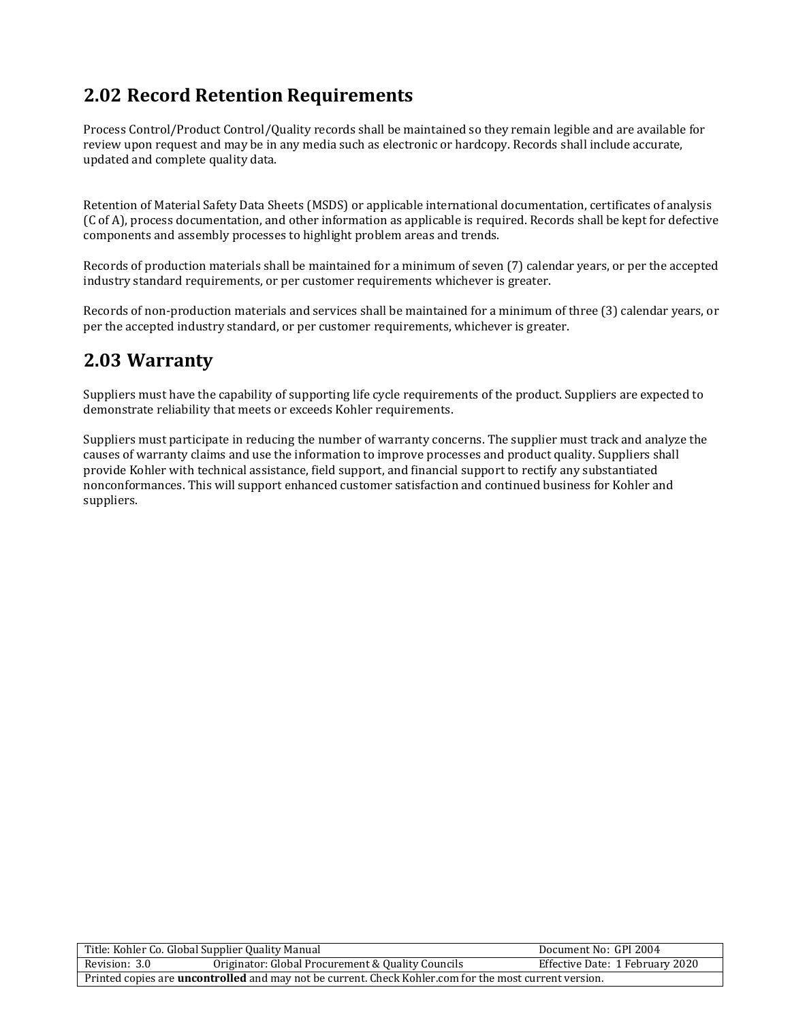## **2.02 Record Retention Requirements**

Process Control/Product Control/Quality records shall be maintained so they remain legible and are available for review upon request and may be in any media such as electronic or hardcopy. Records shall include accurate, updated and complete quality data.

Retention of Material Safety Data Sheets (MSDS) or applicable international documentation, certificates of analysis (C of A), process documentation, and other information as applicable is required. Records shall be kept for defective components and assembly processes to highlight problem areas and trends.

Records of production materials shall be maintained for a minimum of seven (7) calendar years, or per the accepted industry standard requirements, or per customer requirements whichever is greater.

Records of non-production materials and services shall be maintained for a minimum of three (3) calendar years, or per the accepted industry standard, or per customer requirements, whichever is greater.

### **2.03 Warranty**

Suppliers must have the capability of supporting life cycle requirements of the product. Suppliers are expected to demonstrate reliability that meets or exceeds Kohler requirements.

Suppliers must participate in reducing the number of warranty concerns. The supplier must track and analyze the causes of warranty claims and use the information to improve processes and product quality. Suppliers shall provide Kohler with technical assistance, field support, and financial support to rectify any substantiated nonconformances. This will support enhanced customer satisfaction and continued business for Kohler and suppliers.

| Title: Kohler Co. Global Supplier Quality Manual                                                              |                                                   | Document No: GPI 2004           |
|---------------------------------------------------------------------------------------------------------------|---------------------------------------------------|---------------------------------|
| Revision: 3.0                                                                                                 | Originator: Global Procurement & Quality Councils | Effective Date: 1 February 2020 |
| Printed copies are <b>uncontrolled</b> and may not be current. Check Kohler.com for the most current version. |                                                   |                                 |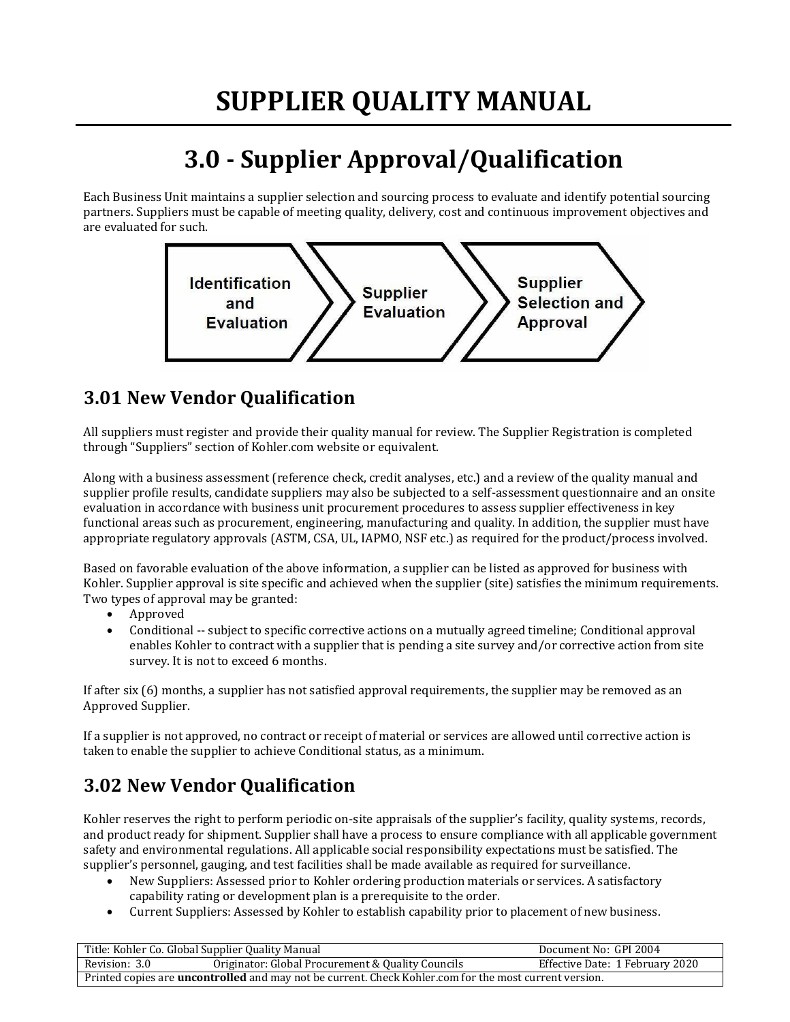## **3.0 - Supplier Approval/Qualification**

Each Business Unit maintains a supplier selection and sourcing process to evaluate and identify potential sourcing partners. Suppliers must be capable of meeting quality, delivery, cost and continuous improvement objectives and are evaluated for such.



## **3.01 New Vendor Qualification**

All suppliers must register and provide their quality manual for review. The Supplier Registration is completed through "Suppliers" section of Kohler.com website or equivalent.

Along with a business assessment (reference check, credit analyses, etc.) and a review of the quality manual and supplier profile results, candidate suppliers may also be subjected to a self-assessment questionnaire and an onsite evaluation in accordance with business unit procurement procedures to assess supplier effectiveness in key functional areas such as procurement, engineering, manufacturing and quality. In addition, the supplier must have appropriate regulatory approvals (ASTM, CSA, UL, IAPMO, NSF etc.) as required for the product/process involved.

Based on favorable evaluation of the above information, a supplier can be listed as approved for business with Kohler. Supplier approval is site specific and achieved when the supplier (site) satisfies the minimum requirements. Two types of approval may be granted:

- Approved
- Conditional -- subject to specific corrective actions on a mutually agreed timeline; Conditional approval enables Kohler to contract with a supplier that is pending a site survey and/or corrective action from site survey. It is not to exceed 6 months.

If after six (6) months, a supplier has not satisfied approval requirements, the supplier may be removed as an Approved Supplier.

If a supplier is not approved, no contract or receipt of material or services are allowed until corrective action is taken to enable the supplier to achieve Conditional status, as a minimum.

## **3.02 New Vendor Qualification**

Kohler reserves the right to perform periodic on-site appraisals of the supplier's facility, quality systems, records, and product ready for shipment. Supplier shall have a process to ensure compliance with all applicable government safety and environmental regulations. All applicable social responsibility expectations must be satisfied. The supplier's personnel, gauging, and test facilities shall be made available as required for surveillance.

- New Suppliers: Assessed prior to Kohler ordering production materials or services. A satisfactory capability rating or development plan is a prerequisite to the order.
- Current Suppliers: Assessed by Kohler to establish capabilityprior to placement of new business.

| Title: Kohler Co. Global Supplier Quality Manual                                                              |                                                   | Document No: GPI 2004           |
|---------------------------------------------------------------------------------------------------------------|---------------------------------------------------|---------------------------------|
| Revision: 3.0                                                                                                 | Originator: Global Procurement & Quality Councils | Effective Date: 1 February 2020 |
| Printed copies are <b>uncontrolled</b> and may not be current. Check Kohler.com for the most current version. |                                                   |                                 |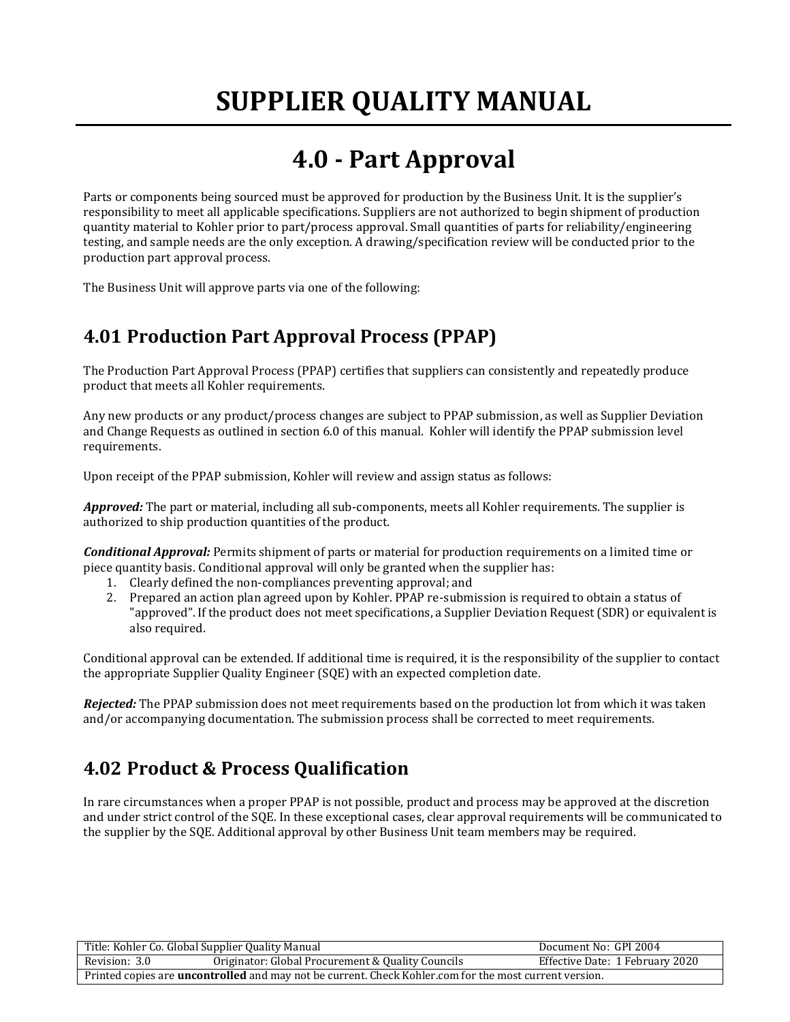## **4.0 - Part Approval**

Parts or components being sourced must be approved for production by the Business Unit. It is the supplier's responsibility to meet all applicable specifications. Suppliers are not authorized to begin shipment of production quantity material to Kohler prior to part/process approval. Small quantities of parts for reliability/engineering testing, and sample needs are the only exception. A drawing/specification review will be conducted prior to the production part approval process.

The Business Unit will approve parts via one of the following:

## **4.01 Production Part Approval Process (PPAP)**

The Production Part Approval Process (PPAP) certifies that suppliers can consistently and repeatedly produce product that meets all Kohler requirements.

Any new products or any product/process changes are subject to PPAP submission, as well as Supplier Deviation and Change Requests as outlined in section 6.0 of this manual. Kohler will identify the PPAP submission level requirements.

Upon receipt of the PPAP submission, Kohler will review and assign status as follows:

*Approved:* The part or material, including all sub-components, meets all Kohler requirements. The supplier is authorized to ship production quantities of the product.

*Conditional Approval:* Permits shipment of parts or material for production requirements on a limited time or piece quantity basis. Conditional approval will only be granted when the supplier has:

- 1. Clearly defined the non-compliances preventing approval; and
- 2. Prepared an action plan agreed upon by Kohler. PPAP re-submission is required to obtain a status of "approved". If the product does not meet specifications, a Supplier Deviation Request (SDR) or equivalent is also required.

Conditional approval can be extended. If additional time is required, it is the responsibility of the supplier to contact the appropriate Supplier Quality Engineer (SQE) with an expected completion date.

*Rejected:* The PPAP submission does not meet requirements based on the production lot from which it was taken and/or accompanying documentation. The submission process shall be corrected to meet requirements.

## **4.02 Product & Process Qualification**

In rare circumstances when a proper PPAP is not possible, product and process may be approved at the discretion and under strict control of the SQE. In these exceptional cases, clear approval requirements will be communicated to the supplier by the SQE. Additional approval by other Business Unit team members may be required.

| Title: Kohler Co. Global Supplier Quality Manual                                                              |                                                   | Document No: GPI 2004           |
|---------------------------------------------------------------------------------------------------------------|---------------------------------------------------|---------------------------------|
| Revision: 3.0                                                                                                 | Originator: Global Procurement & Quality Councils | Effective Date: 1 February 2020 |
| Printed copies are <b>uncontrolled</b> and may not be current. Check Kohler.com for the most current version. |                                                   |                                 |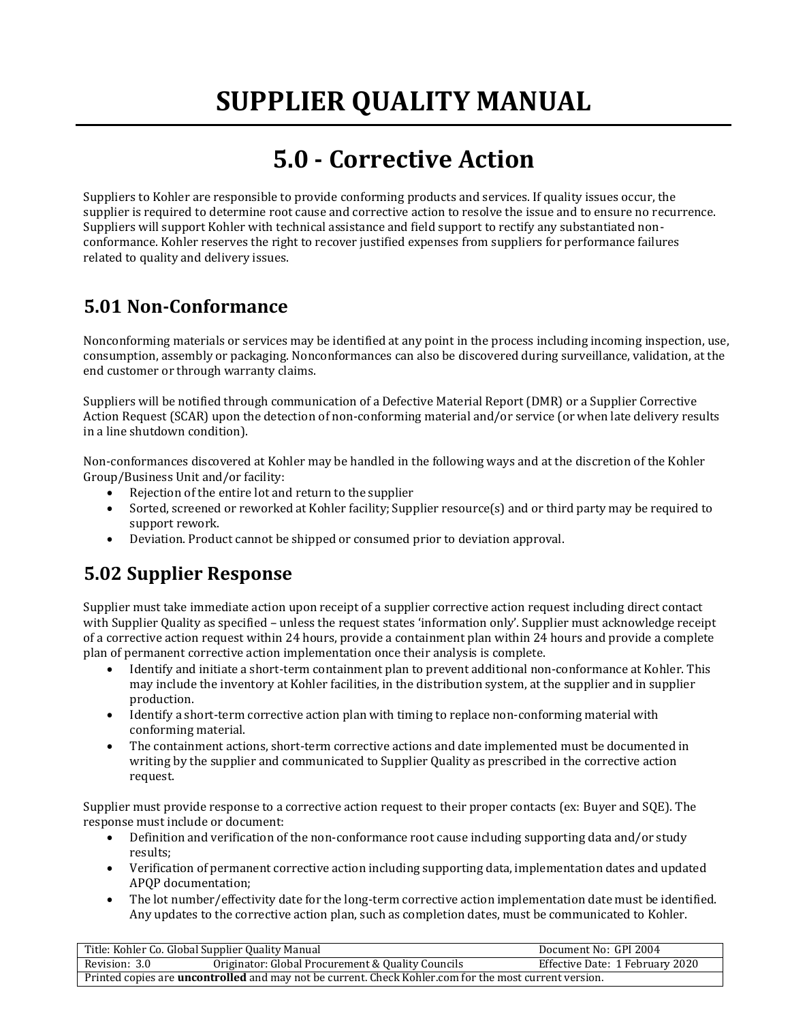## **5.0 - Corrective Action**

Suppliers to Kohler are responsible to provide conforming products and services. If quality issues occur, the supplier is required to determine root cause and corrective action to resolve the issue and to ensure no recurrence. Suppliers will support Kohler with technical assistance and field support to rectify any substantiated nonconformance. Kohler reserves the right to recover justified expenses from suppliers for performance failures related to quality and delivery issues.

## **5.01 Non-Conformance**

Nonconforming materials or services may be identified at any point in the process including incoming inspection, use, consumption, assembly or packaging. Nonconformances can also be discovered during surveillance, validation, at the end customer or through warranty claims.

Suppliers will be notified through communication of a Defective Material Report (DMR) or a Supplier Corrective Action Request (SCAR) upon the detection of non-conforming material and/or service (or when late delivery results in a line shutdown condition).

Non-conformances discovered at Kohler may be handled in the following ways and at the discretion of the Kohler Group/Business Unit and/or facility:

- Rejection of the entire lot and return to the supplier
- Sorted, screened or reworked at Kohler facility; Supplier resource(s) and or third party may be required to support rework.
- Deviation. Product cannot be shipped or consumed prior to deviation approval.

## **5.02 Supplier Response**

Supplier must take immediate action upon receipt of a supplier corrective action request including direct contact with Supplier Quality as specified – unless the request states 'information only'. Supplier must acknowledge receipt of a corrective action request within 24 hours, provide a containment plan within 24 hours and provide a complete plan of permanent corrective action implementation once their analysis is complete.

- Identify and initiate a short-term containment plan to prevent additional non-conformance at Kohler. This may include the inventory at Kohler facilities, in the distribution system, at the supplier and in supplier production.
- Identify a short-term corrective action plan with timing to replace non-conforming material with conforming material.
- The containment actions, short-term corrective actions and date implemented must be documented in writing by the supplier and communicated to Supplier Quality as prescribed in the corrective action request.

Supplier must provide response to a corrective action request to their proper contacts (ex: Buyer and SQE). The response must include or document:

- Definition and verification of the non-conformance root cause including supporting data and/or study results;
- Verification of permanent corrective action including supporting data, implementation dates and updated APQP documentation;
- The lot number/effectivity date for the long-term corrective action implementation date must be identified. Any updates to the corrective action plan, such as completion dates, must be communicated to Kohler.

| Title: Kohler Co. Global Supplier Quality Manual                                                              |                                                   | Document No: GPI 2004           |
|---------------------------------------------------------------------------------------------------------------|---------------------------------------------------|---------------------------------|
| Revision: 3.0                                                                                                 | Originator: Global Procurement & Quality Councils | Effective Date: 1 February 2020 |
| Printed copies are <b>uncontrolled</b> and may not be current. Check Kohler.com for the most current version. |                                                   |                                 |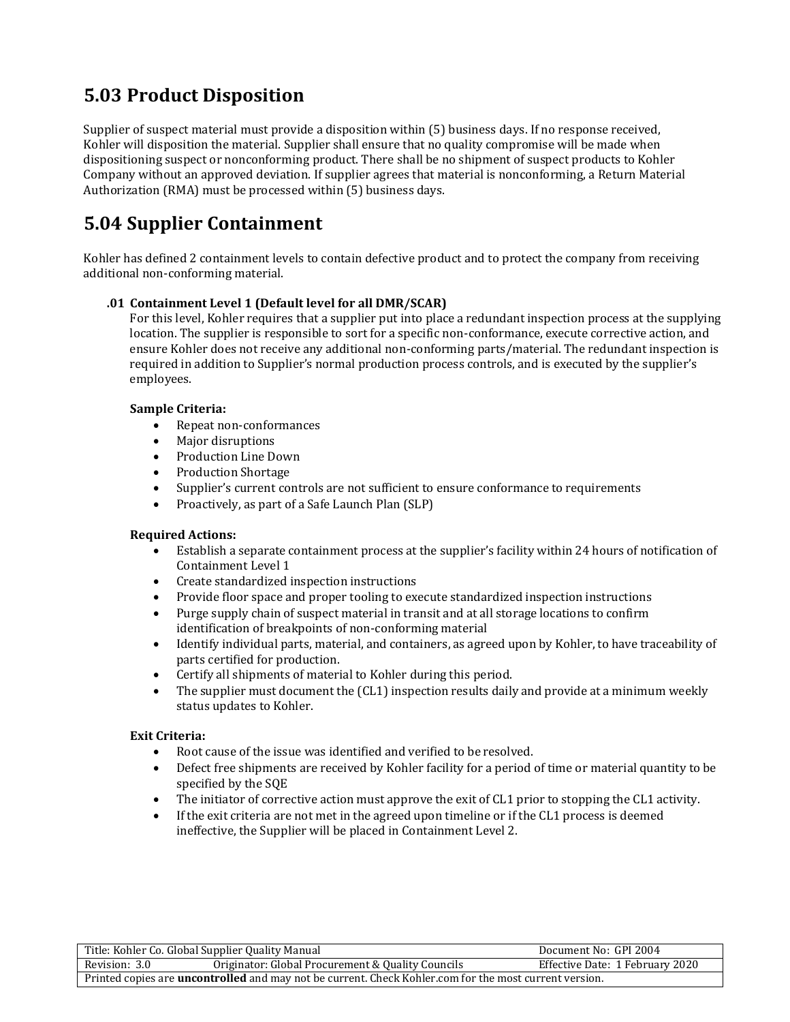## **5.03 Product Disposition**

Supplier of suspect material must provide a disposition within (5) business days. If no response received, Kohler will disposition the material. Supplier shall ensure that no quality compromise will be made when dispositioning suspect or nonconforming product. There shall be no shipment of suspect products to Kohler Company without an approved deviation. If supplier agrees that material is nonconforming, a Return Material Authorization (RMA) must be processed within (5) business days.

## **5.04 Supplier Containment**

Kohler has defined 2 containment levels to contain defective product and to protect the company from receiving additional non-conforming material.

#### **.01 Containment Level 1 (Default level for all DMR/SCAR)**

For this level, Kohler requires that a supplier put into place a redundant inspection process at the supplying location. The supplier is responsible to sort for a specific non-conformance, execute corrective action, and ensure Kohler does not receive any additional non-conforming parts/material. The redundant inspection is required in addition to Supplier's normal production process controls, and is executed by the supplier's employees.

#### **Sample Criteria:**

- Repeat non-conformances
- Major disruptions
- Production Line Down
- Production Shortage
- Supplier's current controls are not sufficient to ensure conformance to requirements
- Proactively, as part of a Safe Launch Plan (SLP)

#### **Required Actions:**

- Establish a separate containment process at the supplier's facility within 24 hours of notification of Containment Level 1
- Create standardized inspection instructions
- Provide floor space and proper tooling to execute standardized inspection instructions
- Purge supply chain of suspect material in transit and at all storage locations to confirm identification of breakpoints of non-conforming material
- Identify individual parts, material, and containers, as agreed upon by Kohler, to have traceability of parts certified for production.
- Certify all shipments of material to Kohler during this period.
- The supplier must document the (CL1) inspection results daily and provide at a minimum weekly status updates to Kohler.

#### **Exit Criteria:**

- Root cause of the issue was identified and verified to be resolved.
- Defect free shipments are received by Kohler facility for a period of time or material quantity to be specified by the SQE
- The initiator of corrective action must approve the exit of CL1 prior to stopping the CL1 activity.
- If the exit criteria are not met in the agreed upon timeline or if the CL1 process is deemed ineffective, the Supplier will be placed in Containment Level 2.

| Title: Kohler Co. Global Supplier Quality Manual                                                              |  | Document No: GPI 2004           |
|---------------------------------------------------------------------------------------------------------------|--|---------------------------------|
| Originator: Global Procurement & Quality Councils<br>Revision: 3.0                                            |  | Effective Date: 1 February 2020 |
| Printed copies are <b>uncontrolled</b> and may not be current. Check Kohler.com for the most current version. |  |                                 |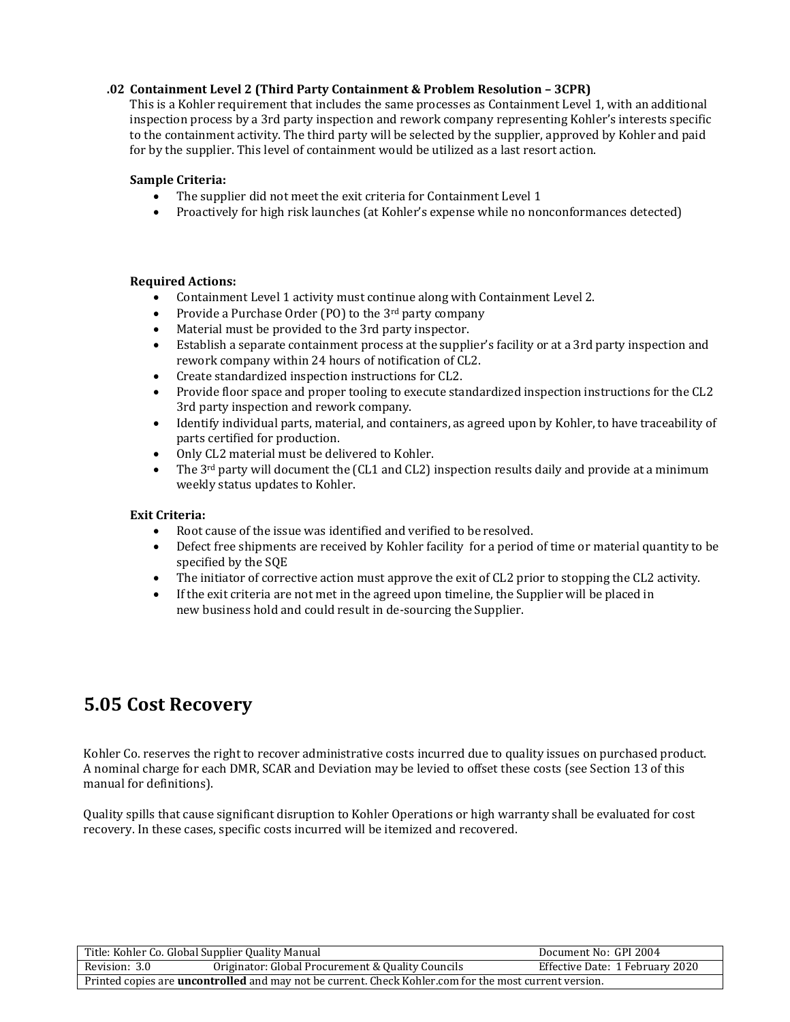#### **.02 Containment Level 2 (Third Party Containment & Problem Resolution – 3CPR)**

This is a Kohler requirement that includes the same processes as Containment Level 1, with an additional inspection process by a 3rd party inspection and rework company representing Kohler's interests specific to the containment activity. The third party will be selected by the supplier, approved by Kohler and paid for by the supplier. This level of containment would be utilized as a last resort action.

#### **Sample Criteria:**

- The supplier did not meet the exit criteria for Containment Level 1
- Proactively for high risk launches (at Kohler's expense while no nonconformances detected)

#### **Required Actions:**

- Containment Level 1 activity must continue along with Containment Level 2.
- Provide a Purchase Order (PO) to the 3<sup>rd</sup> party company
- Material must be provided to the 3rd party inspector.
- Establish a separate containment process at the supplier's facility or at a 3rd party inspection and rework company within 24 hours of notification of CL2.
- Create standardized inspection instructions for CL2.
- Provide floor space and proper tooling to execute standardized inspection instructions for the CL2 3rd party inspection and rework company.
- Identify individual parts, material, and containers, as agreed upon by Kohler, to have traceability of parts certified for production.
- Only CL2 material must be delivered to Kohler.
- The 3<sup>rd</sup> party will document the (CL1 and CL2) inspection results daily and provide at a minimum weekly status updates to Kohler.

#### **Exit Criteria:**

- Root cause of the issue was identified and verified to be resolved.
- Defect free shipments are received by Kohler facility for a period of time or material quantity to be specified by the SQE
- The initiator of corrective action must approve the exit of CL2 prior to stopping the CL2 activity.
- If the exit criteria are not met in the agreed upon timeline, the Supplier will be placed in new business hold and could result in de-sourcing the Supplier.

## **5.05 Cost Recovery**

Kohler Co. reserves the right to recover administrative costs incurred due to quality issues on purchased product. A nominal charge for each DMR, SCAR and Deviation may be levied to offset these costs (see Section 13 of this manual for definitions).

Quality spills that cause significant disruption to Kohler Operations or high warranty shall be evaluated for cost recovery. In these cases, specific costs incurred will be itemized and recovered.

|                                                                                                               | Title: Kohler Co. Global Supplier Quality Manual  | Document No: GPI 2004           |
|---------------------------------------------------------------------------------------------------------------|---------------------------------------------------|---------------------------------|
| Revision: 3.0                                                                                                 | Originator: Global Procurement & Quality Councils | Effective Date: 1 February 2020 |
| Printed copies are <b>uncontrolled</b> and may not be current. Check Kohler.com for the most current version. |                                                   |                                 |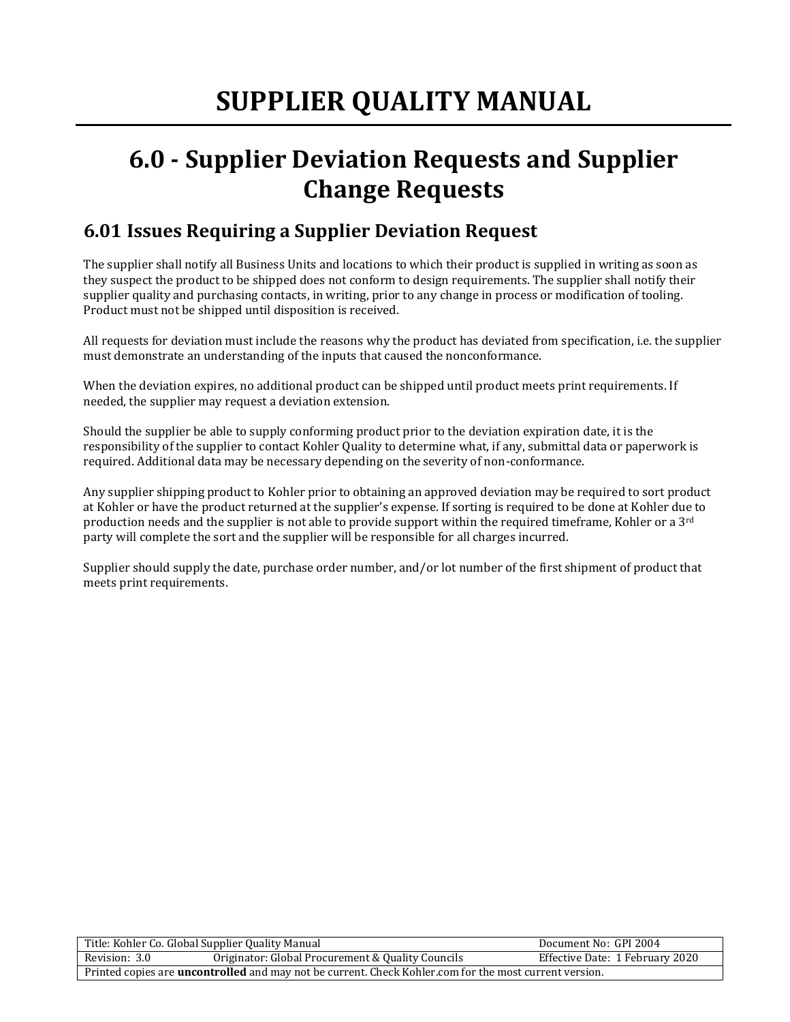## **6.0 - Supplier Deviation Requests and Supplier Change Requests**

## **6.01 Issues Requiring a Supplier Deviation Request**

The supplier shall notify all Business Units and locations to which their product is supplied in writing as soon as they suspect the product to be shipped does not conform to design requirements. The supplier shall notify their supplier quality and purchasing contacts, in writing, prior to any change in process or modification of tooling. Product must not be shipped until disposition is received.

All requests for deviation must include the reasons why the product has deviated from specification, i.e. the supplier must demonstrate an understanding of the inputs that caused the nonconformance.

When the deviation expires, no additional product can be shipped until product meets print requirements. If needed, the supplier may request a deviation extension.

Should the supplier be able to supply conforming product prior to the deviation expiration date, it is the responsibility of the supplier to contact Kohler Quality to determine what, if any, submittal data or paperwork is required. Additional data may be necessary depending on the severity of non-conformance.

Any supplier shipping product to Kohler prior to obtaining an approved deviation may be required to sort product at Kohler or have the product returned at the supplier's expense. If sorting is required to be done at Kohler due to production needs and the supplier is not able to provide support within the required timeframe, Kohler or a 3<sup>rd</sup> party will complete the sort and the supplier will be responsible for all charges incurred.

Supplier should supply the date, purchase order number, and/or lot number of the first shipment of product that meets print requirements.

| Title: Kohler Co. Global Supplier Quality Manual                                                              |                                                   | Document No: GPI 2004           |
|---------------------------------------------------------------------------------------------------------------|---------------------------------------------------|---------------------------------|
| Revision: 3.0                                                                                                 | Originator: Global Procurement & Quality Councils | Effective Date: 1 February 2020 |
| Printed copies are <b>uncontrolled</b> and may not be current. Check Kohler.com for the most current version. |                                                   |                                 |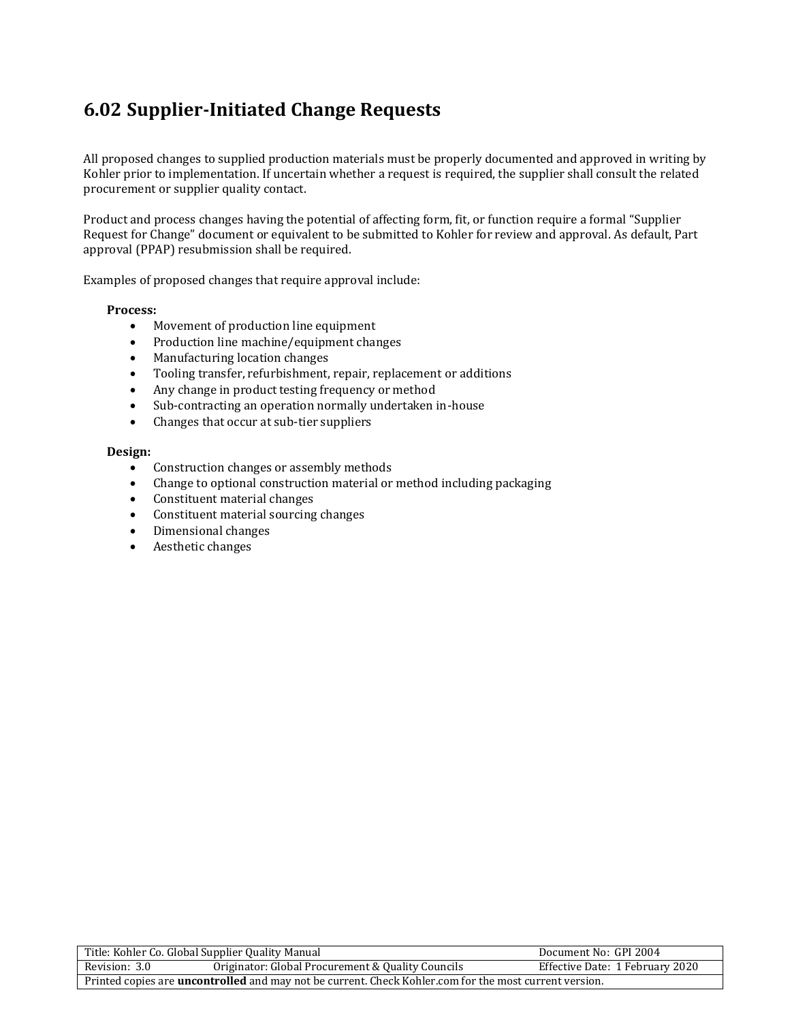## **6.02 Supplier-Initiated Change Requests**

All proposed changes to supplied production materials must be properly documented and approved in writing by Kohler prior to implementation. If uncertain whether a request is required, the supplier shall consult the related procurement or supplier quality contact.

Product and process changes having the potential of affecting form, fit, or function require a formal "Supplier Request for Change" document or equivalent to be submitted to Kohler for review and approval. As default, Part approval (PPAP) resubmission shall be required.

Examples of proposed changes that require approval include:

#### **Process:**

- Movement of production line equipment
- Production line machine/equipment changes
- Manufacturing location changes
- Tooling transfer, refurbishment, repair, replacement or additions
- Any change in product testing frequency or method
- Sub-contracting an operation normally undertaken in-house
- Changes that occur at sub-tier suppliers

#### **Design:**

- Construction changes or assembly methods
- Change to optional construction material or method including packaging
- Constituent material changes
- Constituent material sourcing changes
- Dimensional changes
- Aesthetic changes

| Title: Kohler Co. Global Supplier Quality Manual                                                              |                                                   | Document No: GPI 2004           |
|---------------------------------------------------------------------------------------------------------------|---------------------------------------------------|---------------------------------|
| Revision: 3.0                                                                                                 | Originator: Global Procurement & Quality Councils | Effective Date: 1 February 2020 |
| Printed copies are <b>uncontrolled</b> and may not be current. Check Kohler.com for the most current version. |                                                   |                                 |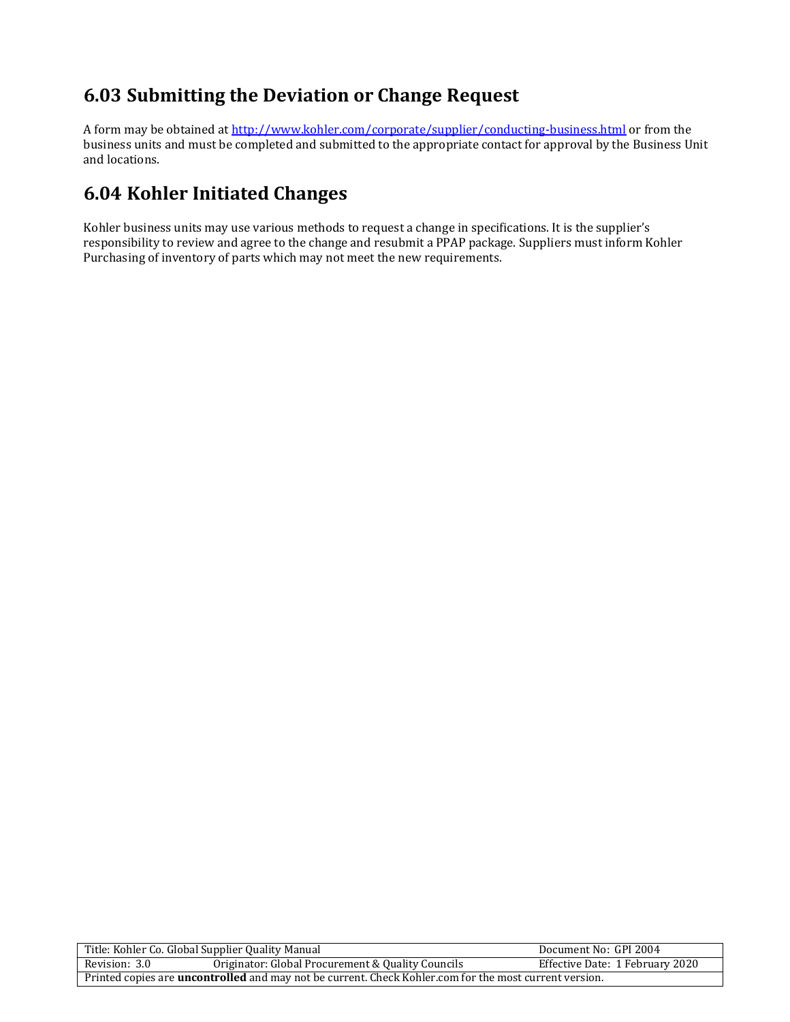## **6.03 Submitting the Deviation or Change Request**

A form may be obtained a[t http://www.kohler.com/corporate/supplier/conducting-business.html](http://www.kohler.com/corporate/supplier/conducting-business.html) or from the business units and must be completed and submitted to the appropriate contact for approval by the Business Unit and locations.

## **6.04 Kohler Initiated Changes**

Kohler business units may use various methods to request a change in specifications. It is the supplier's responsibility to review and agree to the change and resubmit a PPAP package. Suppliers must inform Kohler Purchasing of inventory of parts which may not meet the new requirements.

|                                                                                                               | Title: Kohler Co. Global Supplier Quality Manual | Document No: GPI 2004           |
|---------------------------------------------------------------------------------------------------------------|--------------------------------------------------|---------------------------------|
| Originator: Global Procurement & Quality Councils<br>Revision: 3.0                                            |                                                  | Effective Date: 1 February 2020 |
| Printed copies are <b>uncontrolled</b> and may not be current. Check Kohler.com for the most current version. |                                                  |                                 |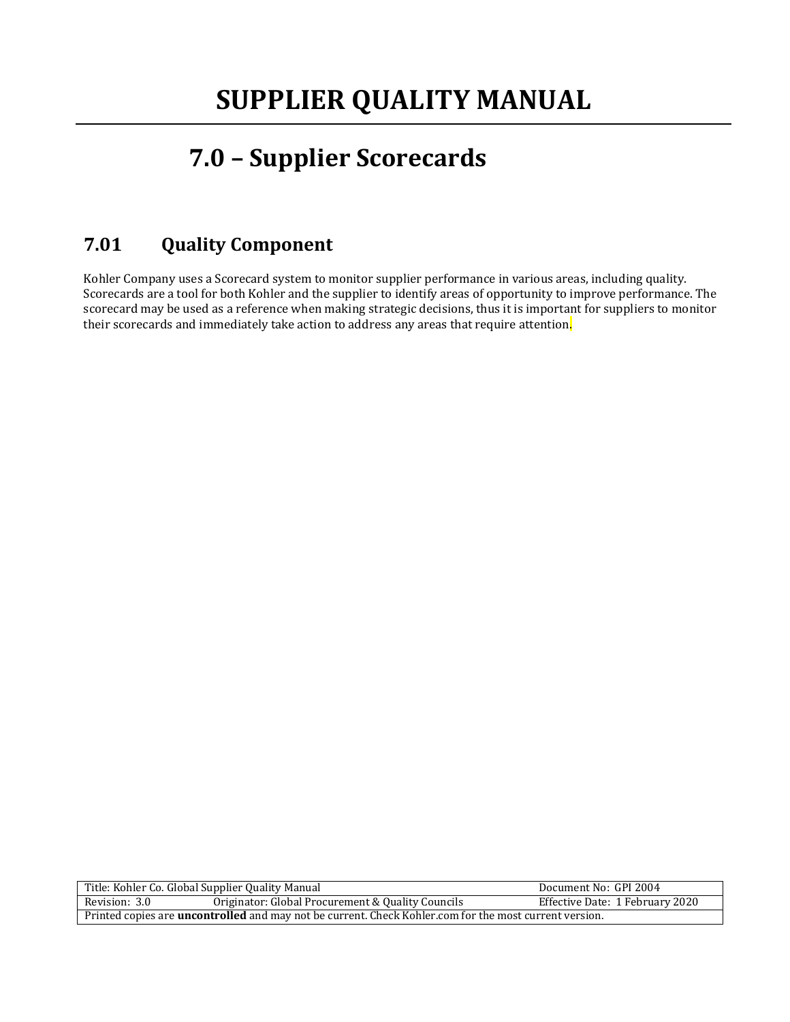## **7.0 – Supplier Scorecards**

## **7.01 Quality Component**

Kohler Company uses a Scorecard system to monitor supplier performance in various areas, including quality. Scorecards are a tool for both Kohler and the supplier to identify areas of opportunity to improve performance. The scorecard may be used as a reference when making strategic decisions, thus it is important for suppliers to monitor their scorecards and immediately take action to address any areas that require attention<mark>.</mark>

|                                                                                                               | Title: Kohler Co. Global Supplier Quality Manual | Document No: GPI 2004           |
|---------------------------------------------------------------------------------------------------------------|--------------------------------------------------|---------------------------------|
| Originator: Global Procurement & Quality Councils<br>Revision: 3.0                                            |                                                  | Effective Date: 1 February 2020 |
| Printed copies are <b>uncontrolled</b> and may not be current. Check Kohler.com for the most current version. |                                                  |                                 |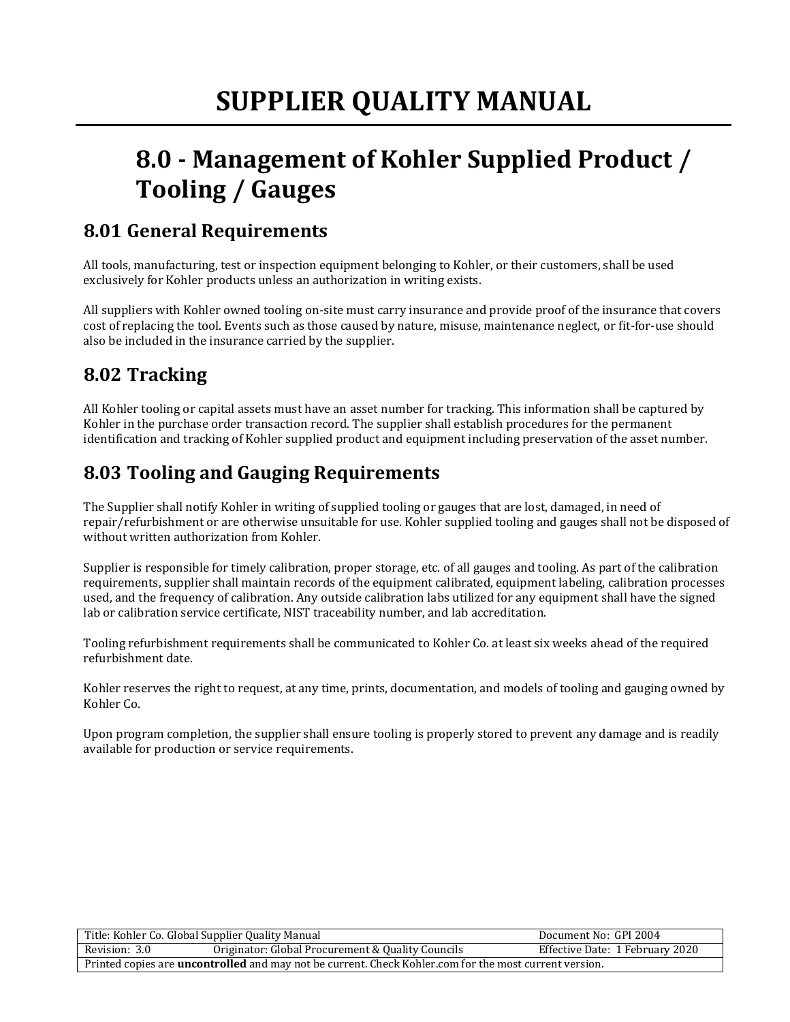## **8.0 - Management of Kohler Supplied Product / Tooling / Gauges**

## **8.01 General Requirements**

All tools, manufacturing, test or inspection equipment belonging to Kohler, or their customers, shall be used exclusively for Kohler products unless an authorization in writing exists.

All suppliers with Kohler owned tooling on-site must carry insurance and provide proof of the insurance that covers cost of replacing the tool. Events such as those caused by nature, misuse, maintenance neglect, or fit-for-use should also be included in the insurance carried by the supplier.

## **8.02 Tracking**

All Kohler tooling or capital assets must have an asset number for tracking. This information shall be captured by Kohler in the purchase order transaction record. The supplier shall establish procedures for the permanent identification and tracking of Kohler supplied product and equipment including preservation of the asset number.

## **8.03 Tooling and Gauging Requirements**

The Supplier shall notify Kohler in writing of supplied tooling or gauges that are lost, damaged, in need of repair/refurbishment or are otherwise unsuitable for use. Kohler supplied tooling and gauges shall not be disposed of without written authorization from Kohler.

Supplier is responsible for timely calibration, proper storage, etc. of all gauges and tooling. As part of the calibration requirements, supplier shall maintain records of the equipment calibrated, equipment labeling, calibration processes used, and the frequency of calibration. Any outside calibration labs utilized for any equipment shall have the signed lab or calibration service certificate, NIST traceability number, and lab accreditation.

Tooling refurbishment requirements shall be communicated to Kohler Co. at least six weeks ahead of the required refurbishment date.

Kohler reserves the right to request, at any time, prints, documentation, and models of tooling and gauging owned by Kohler Co.

Upon program completion, the supplier shall ensure tooling is properly stored to prevent any damage and is readily available for production or service requirements.

| Title: Kohler Co. Global Supplier Quality Manual                                                              |                                                   | Document No: GPI 2004           |
|---------------------------------------------------------------------------------------------------------------|---------------------------------------------------|---------------------------------|
| Revision: 3.0                                                                                                 | Originator: Global Procurement & Quality Councils | Effective Date: 1 February 2020 |
| Printed copies are <b>uncontrolled</b> and may not be current. Check Kohler.com for the most current version. |                                                   |                                 |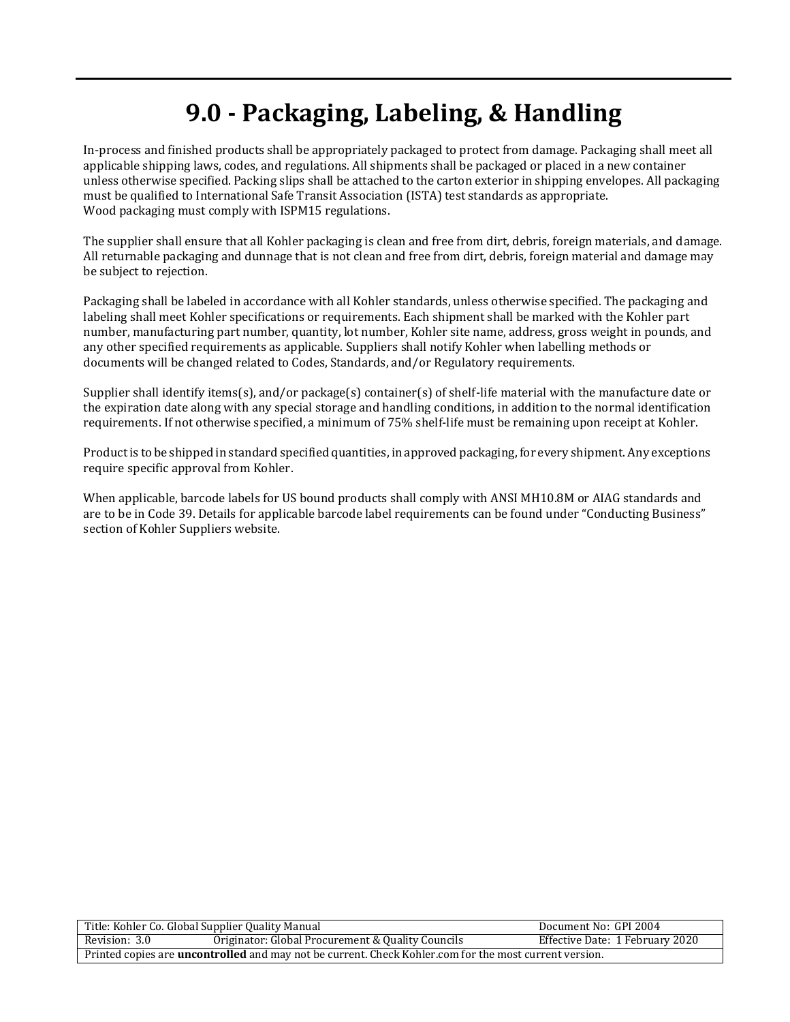## **9.0 - Packaging, Labeling, & Handling**

In-process and finished products shall be appropriately packaged to protect from damage. Packaging shall meet all applicable shipping laws, codes, and regulations. All shipments shall be packaged or placed in a new container unless otherwise specified. Packing slips shall be attached to the carton exterior in shipping envelopes. All packaging must be qualified to International Safe Transit Association (ISTA) test standards as appropriate. Wood packaging must comply with ISPM15 regulations.

The supplier shall ensure that all Kohler packaging is clean and free from dirt, debris, foreign materials, and damage. All returnable packaging and dunnage that is not clean and free from dirt, debris, foreign material and damage may be subject to rejection.

Packaging shall be labeled in accordance with all Kohler standards, unless otherwise specified. The packaging and labeling shall meet Kohler specifications or requirements. Each shipment shall be marked with the Kohler part number, manufacturing part number, quantity, lot number, Kohler site name, address, gross weight in pounds, and any other specified requirements as applicable. Suppliers shall notify Kohler when labelling methods or documents will be changed related to Codes, Standards, and/or Regulatory requirements.

Supplier shall identify items(s), and/or package(s) container(s) of shelf-life material with the manufacture date or the expiration date along with any special storage and handling conditions, in addition to the normal identification requirements. If not otherwise specified, a minimum of 75% shelf-life must be remaining upon receipt at Kohler.

Product is to be shipped in standard specified quantities, in approved packaging, for every shipment. Any exceptions require specific approval from Kohler.

When applicable, barcode labels for US bound products shall comply with ANSI MH10.8M or AIAG standards and are to be in Code 39. Details for applicable barcode label requirements can be found under "Conducting Business" section of Kohler Suppliers website.

| Title: Kohler Co. Global Supplier Quality Manual                                                              |                                                   | Document No: GPI 2004           |
|---------------------------------------------------------------------------------------------------------------|---------------------------------------------------|---------------------------------|
| Revision: 3.0                                                                                                 | Originator: Global Procurement & Quality Councils | Effective Date: 1 February 2020 |
| Printed copies are <b>uncontrolled</b> and may not be current. Check Kohler.com for the most current version. |                                                   |                                 |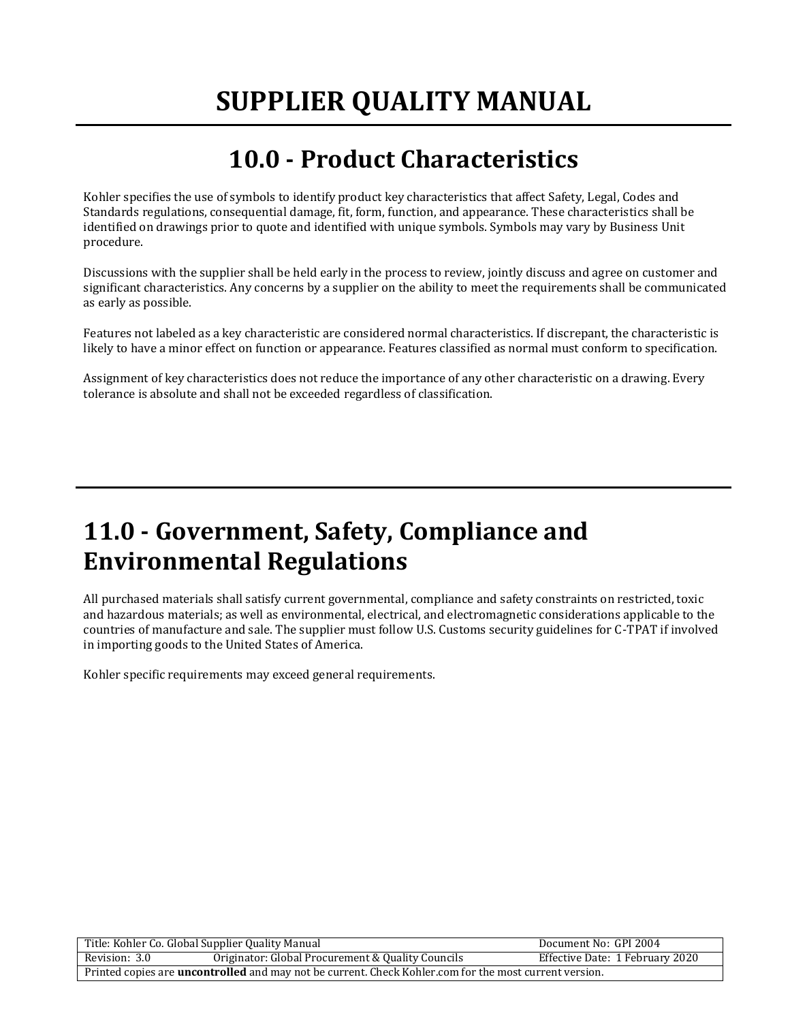## **10.0 - Product Characteristics**

Kohler specifies the use of symbols to identify product key characteristics that affect Safety, Legal, Codes and Standards regulations, consequential damage, fit, form, function, and appearance. These characteristics shall be identified on drawings prior to quote and identified with unique symbols. Symbols may vary by Business Unit procedure.

Discussions with the supplier shall be held early in the process to review, jointly discuss and agree on customer and significant characteristics. Any concerns by a supplier on the ability to meet the requirements shall be communicated as early as possible.

Features not labeled as a key characteristic are considered normal characteristics. If discrepant, the characteristic is likely to have a minor effect on function or appearance. Features classified as normal must conform to specification.

Assignment of key characteristics does not reduce the importance of any other characteristic on a drawing. Every tolerance is absolute and shall not be exceeded regardless of classification.

## **11.0 - Government, Safety, Compliance and Environmental Regulations**

All purchased materials shall satisfy current governmental, compliance and safety constraints on restricted, toxic and hazardous materials; as well as environmental, electrical, and electromagnetic considerations applicable to the countries of manufacture and sale. The supplier must follow U.S. Customs security guidelines for C-TPAT if involved in importing goods to the United States of America.

Kohler specific requirements may exceed general requirements.

| Title: Kohler Co. Global Supplier Quality Manual                                                              |                                                   | Document No: GPI 2004           |
|---------------------------------------------------------------------------------------------------------------|---------------------------------------------------|---------------------------------|
| Revision: 3.0                                                                                                 | Originator: Global Procurement & Quality Councils | Effective Date: 1 February 2020 |
| Printed copies are <b>uncontrolled</b> and may not be current. Check Kohler.com for the most current version. |                                                   |                                 |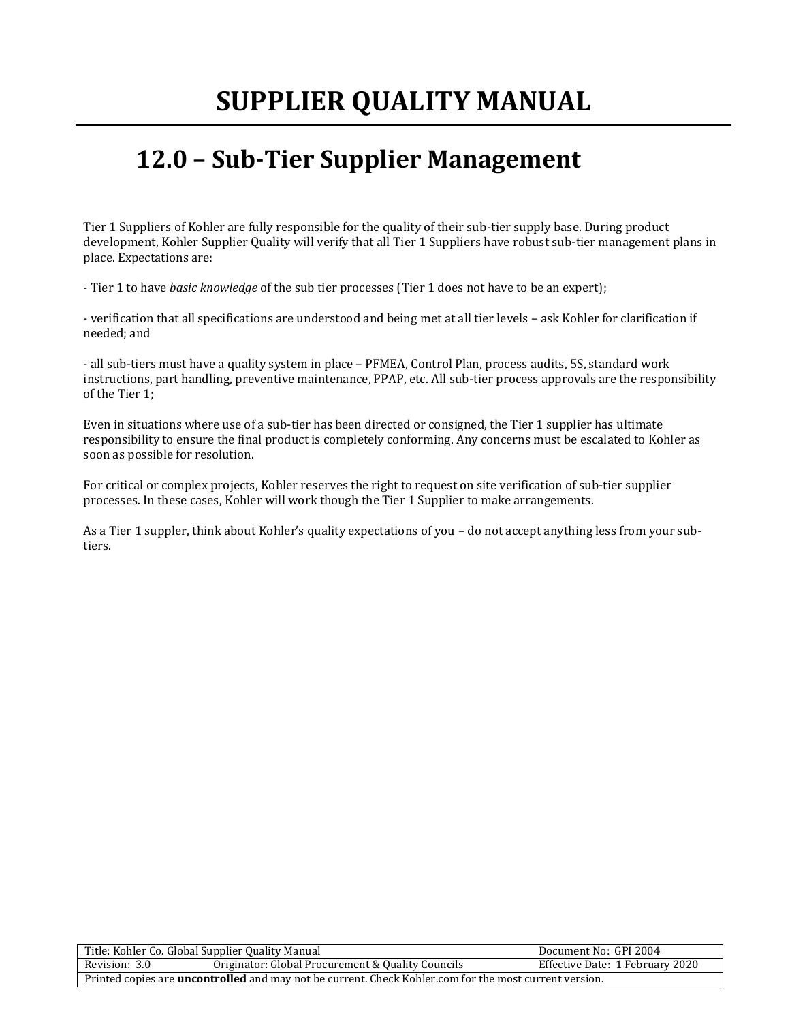## **12.0 – Sub-Tier Supplier Management**

Tier 1 Suppliers of Kohler are fully responsible for the quality of their sub-tier supply base. During product development, Kohler Supplier Quality will verify that all Tier 1 Suppliers have robust sub-tier management plans in place. Expectations are:

- Tier 1 to have *basic knowledge* of the sub tier processes (Tier 1 does not have to be an expert);

- verification that all specifications are understood and being met at all tier levels – ask Kohler for clarification if needed; and

- all sub-tiers must have a quality system in place – PFMEA, Control Plan, process audits, 5S, standard work instructions, part handling, preventive maintenance, PPAP, etc. All sub-tier process approvals are the responsibility of the Tier 1;

Even in situations where use of a sub-tier has been directed or consigned, the Tier 1 supplier has ultimate responsibility to ensure the final product is completely conforming. Any concerns must be escalated to Kohler as soon as possible for resolution.

For critical or complex projects, Kohler reserves the right to request on site verification of sub-tier supplier processes. In these cases, Kohler will work though the Tier 1 Supplier to make arrangements.

As a Tier 1 suppler, think about Kohler's quality expectations of you – do not accept anything less from your subtiers.

| Title: Kohler Co. Global Supplier Quality Manual                                                              |                                                   | Document No: GPI 2004           |
|---------------------------------------------------------------------------------------------------------------|---------------------------------------------------|---------------------------------|
| Revision: 3.0                                                                                                 | Originator: Global Procurement & Quality Councils | Effective Date: 1 February 2020 |
| Printed copies are <b>uncontrolled</b> and may not be current. Check Kohler.com for the most current version. |                                                   |                                 |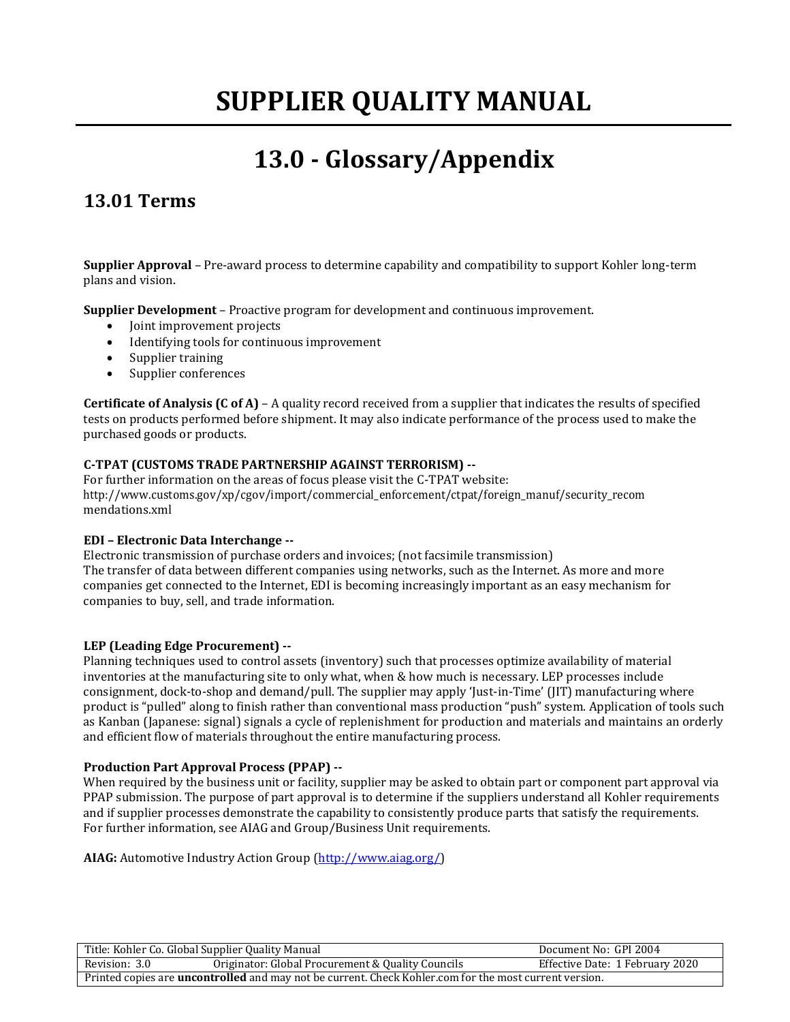## **13.0 - Glossary/Appendix**

## **13.01 Terms**

**Supplier Approval** – Pre-award process to determine capability and compatibility to support Kohler long-term plans and vision.

**Supplier Development** – Proactive program for development and continuous improvement.

- Joint improvement projects
- Identifying tools for continuous improvement
- Supplier training
- Supplier conferences

**Certificate of Analysis (C of A)** – A quality record received from a supplier that indicates the results of specified tests on products performed before shipment. It may also indicate performance of the process used to make the purchased goods or products.

#### **C-TPAT (CUSTOMS TRADE PARTNERSHIP AGAINST TERRORISM) --**

For further information on the areas of focus please visit the C-TPAT website: [http://www.customs.gov/xp/cgov/import/commercial\\_enforcement/ctpat/foreign\\_manuf/security\\_recom](http://www.customs.gov/xp/cgov/import/commercial_enforcement/ctpat/foreign_manuf/security_recom) mendations.xml

#### **EDI – Electronic Data Interchange --**

Electronic transmission of purchase orders and invoices; (not facsimile transmission) The transfer of data between different companies using networks, such as the Internet. As more and more companies get connected to the Internet, EDI is becoming increasingly important as an easy mechanism for companies to buy, sell, and trade information.

#### **LEP (Leading Edge Procurement) --**

Planning techniques used to control assets (inventory) such that processes optimize availability of material inventories at the manufacturing site to only what, when & how much is necessary. LEP processes include consignment, dock-to-shop and demand/pull. The supplier may apply 'Just-in-Time' (JIT) manufacturing where product is "pulled" along to finish rather than conventional mass production "push" system. Application of tools such as Kanban (Japanese: signal) signals a cycle of replenishment for production and materials and maintains an orderly and efficient flow of materials throughout the entire manufacturing process.

#### **Production Part Approval Process (PPAP) --**

When required by the business unit or facility, supplier may be asked to obtain part or component part approval via PPAP submission. The purpose of part approval is to determine if the suppliers understand all Kohler requirements and if supplier processes demonstrate the capability to consistently produce parts that satisfy the requirements. For further information, see AIAG and Group/Business Unit requirements.

**AIAG:** Automotive Industry Action Group [\(http://www.aiag.org/\)](http://www.aiag.org/)

| Title: Kohler Co. Global Supplier Quality Manual                                                              |                                                   | Document No: GPI 2004           |
|---------------------------------------------------------------------------------------------------------------|---------------------------------------------------|---------------------------------|
| Revision: 3.0                                                                                                 | Originator: Global Procurement & Quality Councils | Effective Date: 1 February 2020 |
| Printed copies are <b>uncontrolled</b> and may not be current. Check Kohler.com for the most current version. |                                                   |                                 |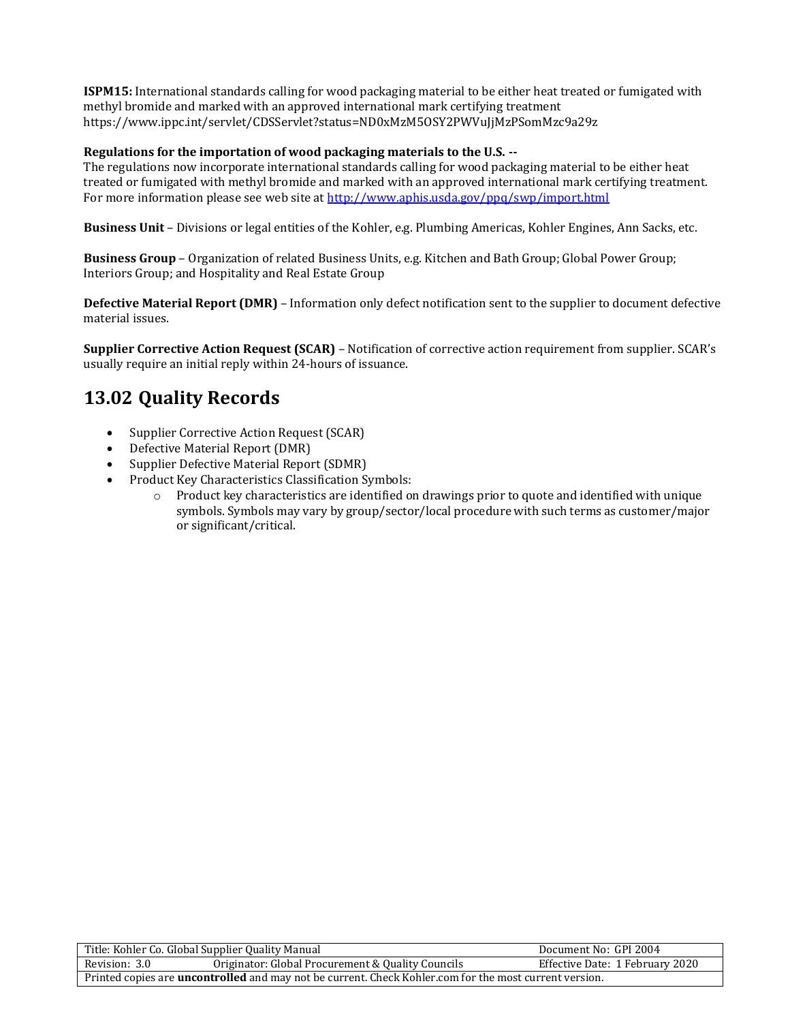**ISPM15:** International standards calling for wood packaging material to be either heat treated or fumigated with methyl bromide and marked with an approved international mark certifying treatment https:/[/www.ippc.int/servlet/CDSServlet?status=ND0xMzM5OSY2PWVuJjMzPSomMzc9a29z](http://www.ippc.int/servlet/CDSServlet?status=ND0xMzM5OSY2PWVuJjMzPSomMzc9a29z)

#### **Regulations for the importation of wood packaging materials to the U.S. --**

The regulations now incorporate international standards calling for wood packaging material to be either heat treated or fumigated with methyl bromide and marked with an approved international mark certifying treatment. For more information please see web site at<http://www.aphis.usda.gov/ppq/swp/import.html>

**Business Unit** – Divisions or legal entities of the Kohler, e.g. Plumbing Americas, Kohler Engines, Ann Sacks, etc.

**Business Group** – Organization of related Business Units, e.g. Kitchen and Bath Group; Global Power Group; Interiors Group; and Hospitality and Real Estate Group

**Defective Material Report (DMR)** – Information only defect notification sent to the supplier to document defective material issues.

**Supplier Corrective Action Request (SCAR)** – Notification of corrective action requirement from supplier. SCAR's usually require an initial reply within 24-hours of issuance.

### **13.02 Quality Records**

- Supplier Corrective Action Request (SCAR)
- Defective Material Report (DMR)
- Supplier Defective Material Report (SDMR)
- Product Key Characteristics Classification Symbols:
	- o Product key characteristics are identified on drawings prior to quote and identified with unique symbols. Symbols may vary by group/sector/local procedure with such terms as customer/major or significant/critical.

| Title: Kohler Co. Global Supplier Quality Manual                                                              |                                                   | Document No: GPI 2004           |
|---------------------------------------------------------------------------------------------------------------|---------------------------------------------------|---------------------------------|
| Revision: 3.0                                                                                                 | Originator: Global Procurement & Quality Councils | Effective Date: 1 February 2020 |
| Printed copies are <b>uncontrolled</b> and may not be current. Check Kohler.com for the most current version. |                                                   |                                 |